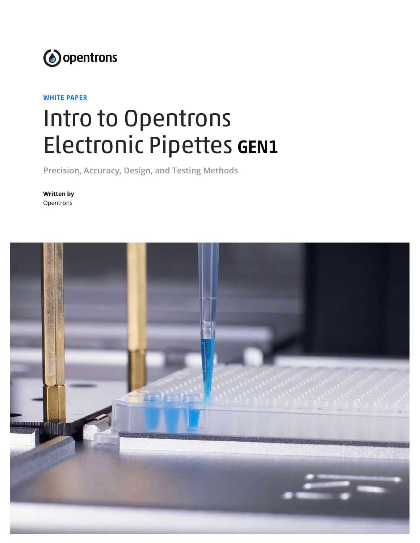

#### WHITE PAPER

# Intro to Opentrons Electronic Pipettes GEN1

**Precision, Accuracy, Design, and Testing Methods**

**Written by** Opentrons

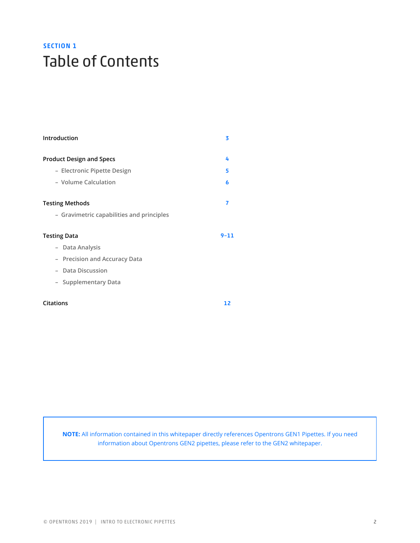# SECTION 1 Table of Contents

| Introduction                              | 3        |
|-------------------------------------------|----------|
| <b>Product Design and Specs</b>           | 4        |
| - Electronic Pipette Design               | 5        |
| - Volume Calculation                      | 6        |
| <b>Testing Methods</b>                    | 7        |
| - Gravimetric capabilities and principles |          |
| <b>Testing Data</b>                       | $9 - 11$ |
| - Data Analysis                           |          |
| - Precision and Accuracy Data             |          |
| Data Discussion                           |          |
| - Supplementary Data                      |          |
| <b>Citations</b>                          | 12       |

**NOTE:** All information contained in this whitepaper directly references Opentrons GEN1 Pipettes. If you need information about Opentrons GEN2 pipettes, please refer to the GEN2 whitepaper.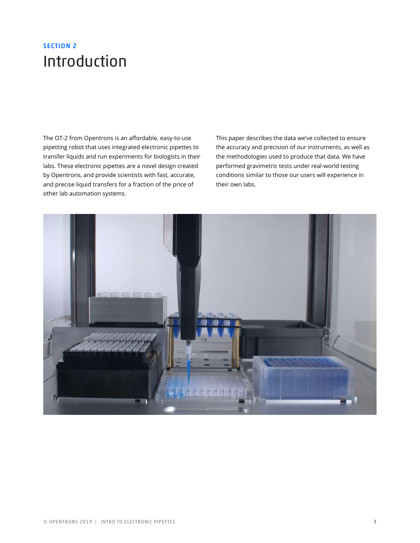### SECTION 2 Introduction

The OT-2 from Opentrons is an affordable, easy-to-use pipetting robot that uses integrated electronic pipettes to transfer liquids and run experiments for biologists in their labs. These electronic pipettes are a novel design created by Opentrons, and provide scientists with fast, accurate, and precise liquid transfers for a fraction of the price of other lab automation systems.

This paper describes the data we've collected to ensure the accuracy and precision of our instruments, as well as the methodologies used to produce that data. We have performed gravimetric tests under real-world testing conditions similar to those our users will experience in their own labs.

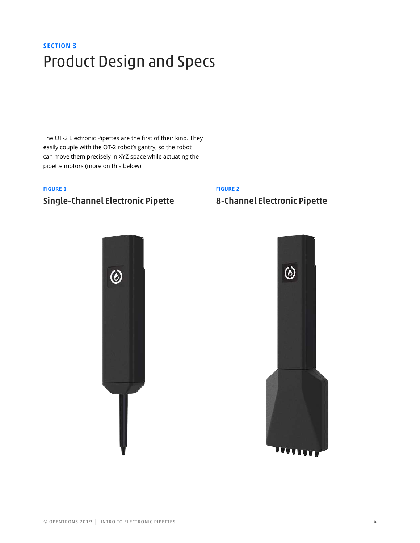# SECTION 3 Product Design and Specs

The OT-2 Electronic Pipettes are the first of their kind. They easily couple with the OT-2 robot's gantry, so the robot can move them precisely in XYZ space while actuating the pipette motors (more on this below).

#### FIGURE 1

### Single-Channel Electronic Pipette

#### FIGURE 2

### 8-Channel Electronic Pipette



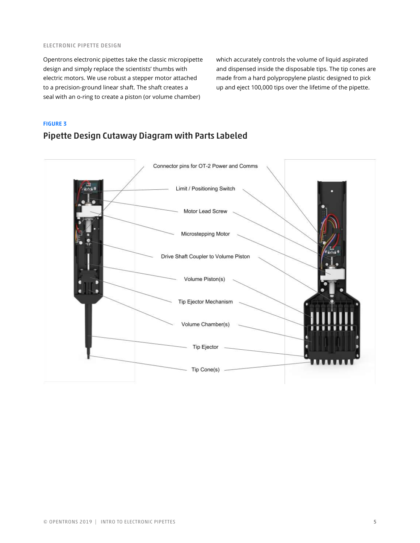#### ELECTRONIC PIPETTE DESIGN

Opentrons electronic pipettes take the classic micropipette design and simply replace the scientists' thumbs with electric motors. We use robust a stepper motor attached to a precision-ground linear shaft. The shaft creates a seal with an o-ring to create a piston (or volume chamber)

which accurately controls the volume of liquid aspirated and dispensed inside the disposable tips. The tip cones are made from a hard polypropylene plastic designed to pick up and eject 100,000 tips over the lifetime of the pipette.

#### FIGURE 3

### Pipette Design Cutaway Diagram with Parts Labeled

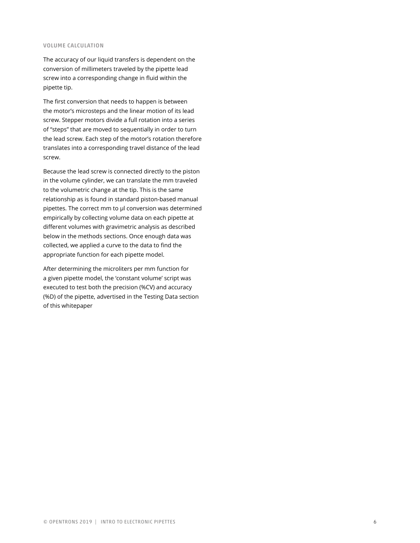#### VOLUME CALCULATION

The accuracy of our liquid transfers is dependent on the conversion of millimeters traveled by the pipette lead screw into a corresponding change in fluid within the pipette tip.

The first conversion that needs to happen is between the motor's microsteps and the linear motion of its lead screw. Stepper motors divide a full rotation into a series of "steps" that are moved to sequentially in order to turn the lead screw. Each step of the motor's rotation therefore translates into a corresponding travel distance of the lead screw.

Because the lead screw is connected directly to the piston in the volume cylinder, we can translate the mm traveled to the volumetric change at the tip. This is the same relationship as is found in standard piston-based manual pipettes. The correct mm to μl conversion was determined empirically by collecting volume data on each pipette at different volumes with gravimetric analysis as described below in the methods sections. Once enough data was collected, we applied a curve to the data to find the appropriate function for each pipette model.

After determining the microliters per mm function for a given pipette model, the 'constant volume' script was executed to test both the precision (%CV) and accuracy (%D) of the pipette, advertised in the Testing Data section of this whitepaper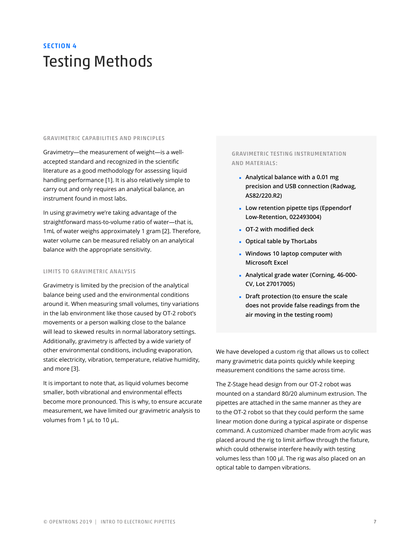## SECTION 4 Testing Methods

#### GRAVIMETRIC CAPABILITIES AND PRINCIPLES

Gravimetry—the measurement of weight—is a wellaccepted standard and recognized in the scientific literature as a good methodology for assessing liquid handling performance [1]. It is also relatively simple to carry out and only requires an analytical balance, an instrument found in most labs.

In using gravimetry we're taking advantage of the straightforward mass-to-volume ratio of water—that is, 1mL of water weighs approximately 1 gram [2]. Therefore, water volume can be measured reliably on an analytical balance with the appropriate sensitivity.

#### LIMITS TO GRAVIMETRIC ANALYSIS

Gravimetry is limited by the precision of the analytical balance being used and the environmental conditions around it. When measuring small volumes, tiny variations in the lab environment like those caused by OT-2 robot's movements or a person walking close to the balance will lead to skewed results in normal laboratory settings. Additionally, gravimetry is affected by a wide variety of other environmental conditions, including evaporation, static electricity, vibration, temperature, relative humidity, and more [3].

It is important to note that, as liquid volumes become smaller, both vibrational and environmental effects become more pronounced. This is why, to ensure accurate measurement, we have limited our gravimetric analysis to volumes from 1 µL to 10 µL.

#### GRAVIMETRIC TESTING INSTRUMENTATION AND MATERIALS:

- ◾ **Analytical balance with a 0.01 mg precision and USB connection (Radwag, AS82/220.R2)**
- ◾ **Low retention pipette tips (Eppendorf Low-Retention, 022493004)**
- ◾ **OT-2 with modified deck**
- ◾ **Optical table by ThorLabs**
- ◾ **Windows 10 laptop computer with Microsoft Excel**
- ◾ **Analytical grade water (Corning, 46-000- CV, Lot 27017005)**
- ◾ **Draft protection (to ensure the scale does not provide false readings from the air moving in the testing room)**

We have developed a custom rig that allows us to collect many gravimetric data points quickly while keeping measurement conditions the same across time.

The Z-Stage head design from our OT-2 robot was mounted on a standard 80/20 aluminum extrusion. The pipettes are attached in the same manner as they are to the OT-2 robot so that they could perform the same linear motion done during a typical aspirate or dispense command. A customized chamber made from acrylic was placed around the rig to limit airflow through the fixture, which could otherwise interfere heavily with testing volumes less than 100 μl. The rig was also placed on an optical table to dampen vibrations.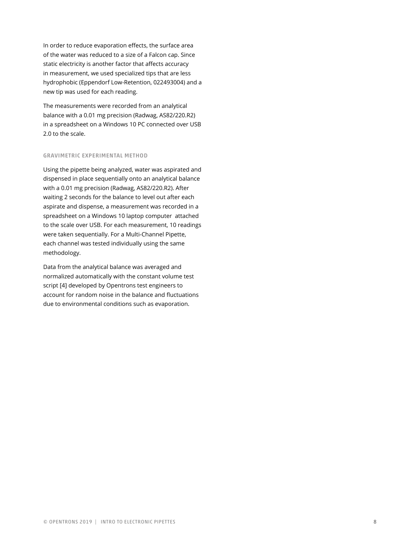In order to reduce evaporation effects, the surface area of the water was reduced to a size of a Falcon cap. Since static electricity is another factor that affects accuracy in measurement, we used specialized tips that are less hydrophobic (Eppendorf Low-Retention, 022493004) and a new tip was used for each reading.

The measurements were recorded from an analytical balance with a 0.01 mg precision (Radwag, AS82/220.R2) in a spreadsheet on a Windows 10 PC connected over USB 2.0 to the scale.

#### GRAVIMETRIC EXPERIMENTAL METHOD

Using the pipette being analyzed, water was aspirated and dispensed in place sequentially onto an analytical balance with a 0.01 mg precision (Radwag, AS82/220.R2). After waiting 2 seconds for the balance to level out after each aspirate and dispense, a measurement was recorded in a spreadsheet on a Windows 10 laptop computer attached to the scale over USB. For each measurement, 10 readings were taken sequentially. For a Multi-Channel Pipette, each channel was tested individually using the same methodology.

Data from the analytical balance was averaged and normalized automatically with the constant volume test script [4] developed by Opentrons test engineers to account for random noise in the balance and fluctuations due to environmental conditions such as evaporation.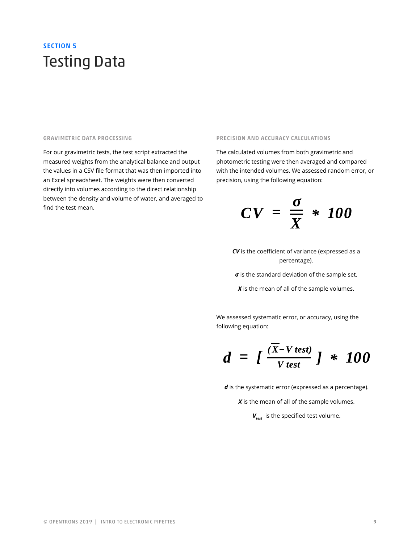### SECTION 5 Testing Data

#### GRAVIMETRIC DATA PROCESSING

For our gravimetric tests, the test script extracted the measured weights from the analytical balance and output the values in a CSV file format that was then imported into an Excel spreadsheet. The weights were then converted directly into volumes according to the direct relationship between the density and volume of water, and averaged to find the test mean.

#### PRECISION AND ACCURACY CALCULATIONS

The calculated volumes from both gravimetric and photometric testing were then averaged and compared with the intended volumes. We assessed random error, or precision, using the following equation:

$$
CV = \frac{\sigma}{X} * 100
$$

*CV* is the coefficient of variance (expressed as a percentage).

*σ* is the standard deviation of the sample set.

*X* is the mean of all of the sample volumes.

We assessed systematic error, or accuracy, using the following equation:

$$
d = \int \frac{(\overline{X} - V \text{ test})}{V \text{ test}} \int \cdot \cdot \cdot \cdot 100
$$

*d* is the systematic error (expressed as a percentage).

*X* is the mean of all of the sample volumes.

 $V_{test}$  is the specified test volume.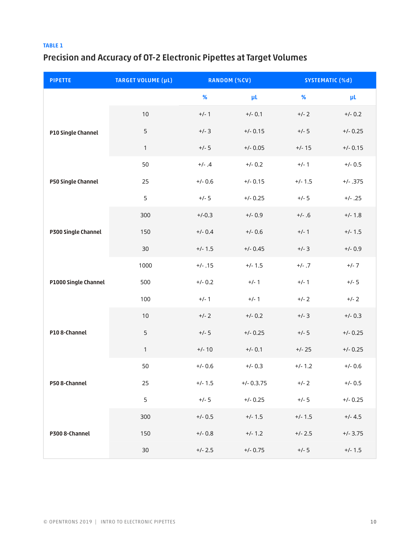#### TABLE 1

### Precision and Accuracy of OT-2 Electronic Pipettes at Target Volumes

| <b>PIPETTE</b>       | <b>TARGET VOLUME (µL)</b> | <b>RANDOM (%CV)</b> |              | <b>SYSTEMATIC (%d)</b> |            |
|----------------------|---------------------------|---------------------|--------------|------------------------|------------|
|                      |                           | %                   | μL           | %                      | μL         |
| P10 Single Channel   | 10                        | $+/- 1$             | $+/- 0.1$    | $+/- 2$                | $+/- 0.2$  |
|                      | 5                         | $+/-3$              | $+/- 0.15$   | $+/- 5$                | $+/- 0.25$ |
|                      | $\mathbf{1}$              | $+/- 5$             | $+/- 0.05$   | $+/- 15$               | $+/- 0.15$ |
| P50 Single Channel   | 50                        | $+/- .4$            | $+/- 0.2$    | $+/- 1$                | $+/- 0.5$  |
|                      | 25                        | $+/- 0.6$           | $+/- 0.15$   | $+/- 1.5$              | $+/- .375$ |
|                      | 5                         | $+/- 5$             | $+/- 0.25$   | $+/- 5$                | $+/- .25$  |
| P300 Single Channel  | 300                       | $+/-0.3$            | $+/- 0.9$    | $+/-.6$                | $+/- 1.8$  |
|                      | 150                       | $+/- 0.4$           | $+/- 0.6$    | $+/-1$                 | $+/- 1.5$  |
|                      | 30                        | $+/- 1.5$           | $+/- 0.45$   | $+/-3$                 | $+/- 0.9$  |
| P1000 Single Channel | 1000                      | $+/- .15$           | $+/- 1.5$    | $+/- .7$               | $+/- 7$    |
|                      | 500                       | $+/- 0.2$           | $+/- 1$      | $+/- 1$                | $+/- 5$    |
|                      | 100                       | $+/- 1$             | $+/-1$       | $+/- 2$                | $+/- 2$    |
| P108-Channel         | 10                        | $+/- 2$             | $+/- 0.2$    | $+/- 3$                | $+/- 0.3$  |
|                      | 5                         | $+/- 5$             | $+/- 0.25$   | $+/- 5$                | $+/- 0.25$ |
|                      | $\mathbf{1}$              | $+/- 10$            | $+/- 0.1$    | $+/- 25$               | $+/- 0.25$ |
| P508-Channel         | 50                        | $+/- 0.6$           | $+/- 0.3$    | $+/- 1.2$              | $+/- 0.6$  |
|                      | 25                        | $+/- 1.5$           | $+/- 0.3.75$ | $+/- 2$                | $+/- 0.5$  |
|                      | 5                         | $+/- 5$             | $+/- 0.25$   | $+/- 5$                | $+/- 0.25$ |
| P300 8-Channel       | 300                       | $+/- 0.5$           | $+/- 1.5$    | $+/- 1.5$              | $+/- 4.5$  |
|                      | 150                       | $+/- 0.8$           | $+/- 1.2$    | $+/- 2.5$              | $+/- 3.75$ |
|                      | $30\,$                    | $+/- 2.5$           | $+/- 0.75$   | $+/- 5$                | $+/- 1.5$  |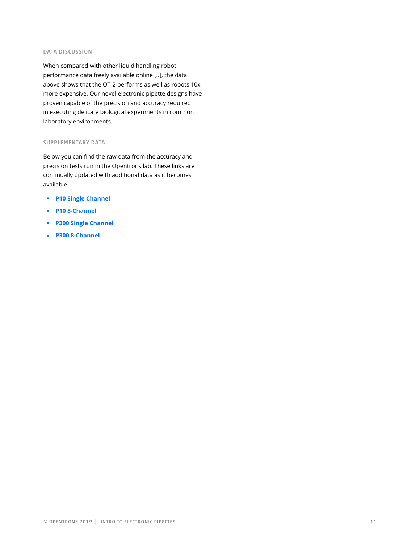#### DATA DISCUSSION

When compared with other liquid handling robot performance data freely available online [5], the data above shows that the OT-2 performs as well as robots 10x more expensive. Our novel electronic pipette designs have proven capable of the precision and accuracy required in executing delicate biological experiments in common laboratory environments.

#### SUPPLEMENTARY DATA

Below you can find the raw data from the accuracy and precision tests run in the Opentrons lab. These links are continually updated with additional data as it becomes available.

- ◾ **P10 Single Channel**
- ◾ **P10 8-Channel**
- ◾ **P300 Single Channel**
- ◾ **P300 8-Channel**